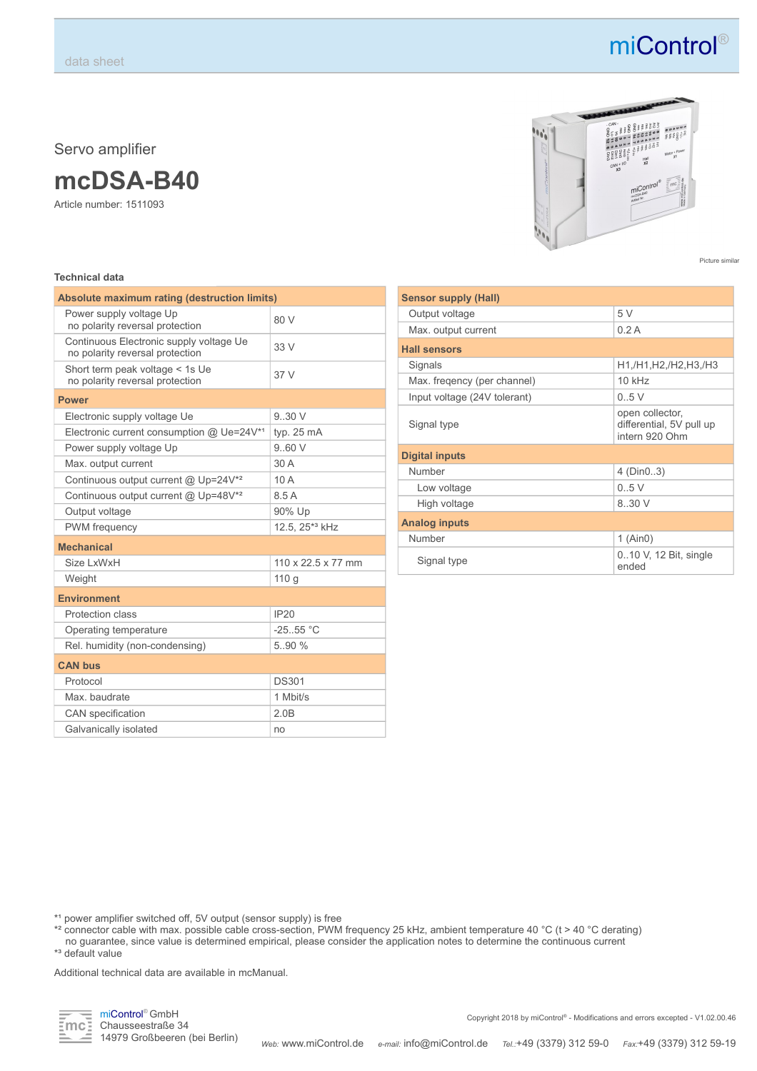Servo amplifier

### **mcDSA-B40**

Article number: 1511093

### **Technical data**

| Absolute maximum rating (destruction limits)                               |                                |  |  |
|----------------------------------------------------------------------------|--------------------------------|--|--|
| Power supply voltage Up<br>no polarity reversal protection                 | 80 V                           |  |  |
| Continuous Electronic supply voltage Ue<br>no polarity reversal protection | 33V                            |  |  |
| Short term peak voltage < 1s Ue<br>37 V<br>no polarity reversal protection |                                |  |  |
| <b>Power</b>                                                               |                                |  |  |
| Electronic supply voltage Ue                                               | 9.30V                          |  |  |
| Electronic current consumption @ Ue=24V*1                                  | typ. 25 mA                     |  |  |
| Power supply voltage Up                                                    | 960V                           |  |  |
| Max. output current                                                        | 30 A                           |  |  |
| Continuous output current @ Up=24V <sup>*2</sup>                           | 10A                            |  |  |
| Continuous output current @ Up=48V <sup>*2</sup>                           | 8.5A                           |  |  |
| Output voltage                                                             | 90% Up                         |  |  |
| PWM frequency                                                              | 12.5. 25* <sup>3</sup> kHz     |  |  |
| <b>Mechanical</b>                                                          |                                |  |  |
| Size I xWxH                                                                | $110 \times 22.5 \times 77$ mm |  |  |
| Weight                                                                     | 110 g                          |  |  |
| <b>Environment</b>                                                         |                                |  |  |
| Protection class                                                           | IP20                           |  |  |
| Operating temperature                                                      | $-25.55$ °C                    |  |  |
| Rel. humidity (non-condensing)                                             | 5.90%                          |  |  |
| <b>CAN bus</b>                                                             |                                |  |  |
| Protocol                                                                   | <b>DS301</b>                   |  |  |
| Max. baudrate                                                              | 1 Mbit/s                       |  |  |
| CAN specification                                                          | 2.0B                           |  |  |
| Galvanically isolated                                                      | no                             |  |  |



Picture similar

| <b>Sensor supply (Hall)</b>  |                                                               |  |  |
|------------------------------|---------------------------------------------------------------|--|--|
| Output voltage               | 5 V                                                           |  |  |
| Max. output current          | 0.2A                                                          |  |  |
| <b>Hall sensors</b>          |                                                               |  |  |
| Signals                      | H1,/H1,H2,/H2,H3,/H3                                          |  |  |
| Max. fregency (per channel)  | $10$ kHz                                                      |  |  |
| Input voltage (24V tolerant) | 0.5V                                                          |  |  |
| Signal type                  | open collector,<br>differential, 5V pull up<br>intern 920 Ohm |  |  |
| <b>Digital inputs</b>        |                                                               |  |  |
| Number                       | 4 (Din03)                                                     |  |  |
| Low voltage                  | 0.5V                                                          |  |  |
| High voltage                 | 8.30 V                                                        |  |  |
| <b>Analog inputs</b>         |                                                               |  |  |
| Number                       | $1$ (Ain0)                                                    |  |  |
| Signal type                  | 010 V, 12 Bit, single<br>ended                                |  |  |

\*<sup>1</sup> power amplifier switched off, 5V output (sensor supply) is free

\*² connector cable with max. possible cable cross-section, PWM frequency 25 kHz, ambient temperature 40 °C (t > 40 °C derating) no guarantee, since value is determined empirical, please consider the application notes to determine the continuous current \*³ default value

Additional technical data are available in mcManual.



## miControl®